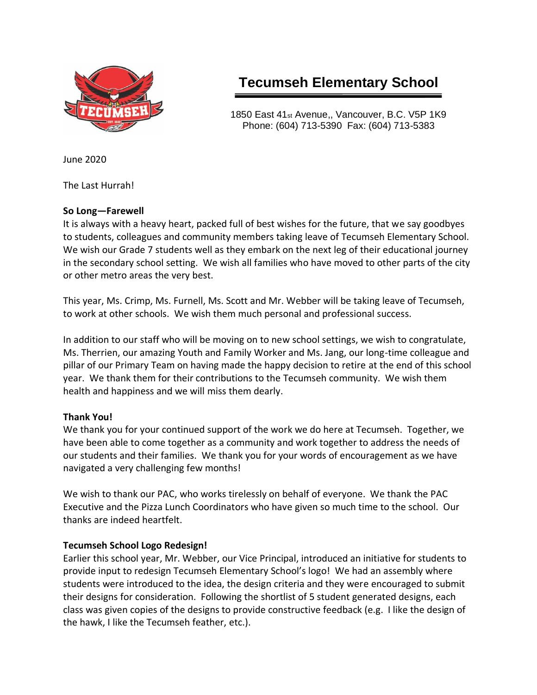

# **Tecumseh Elementary School**

1850 East 41st Avenue,, Vancouver, B.C. V5P 1K9 Phone: (604) 713-5390 Fax: (604) 713-5383

June 2020

The Last Hurrah!

#### **So Long—Farewell**

It is always with a heavy heart, packed full of best wishes for the future, that we say goodbyes to students, colleagues and community members taking leave of Tecumseh Elementary School. We wish our Grade 7 students well as they embark on the next leg of their educational journey in the secondary school setting. We wish all families who have moved to other parts of the city or other metro areas the very best.

This year, Ms. Crimp, Ms. Furnell, Ms. Scott and Mr. Webber will be taking leave of Tecumseh, to work at other schools. We wish them much personal and professional success.

In addition to our staff who will be moving on to new school settings, we wish to congratulate, Ms. Therrien, our amazing Youth and Family Worker and Ms. Jang, our long-time colleague and pillar of our Primary Team on having made the happy decision to retire at the end of this school year. We thank them for their contributions to the Tecumseh community. We wish them health and happiness and we will miss them dearly.

## **Thank You!**

We thank you for your continued support of the work we do here at Tecumseh. Together, we have been able to come together as a community and work together to address the needs of our students and their families. We thank you for your words of encouragement as we have navigated a very challenging few months!

We wish to thank our PAC, who works tirelessly on behalf of everyone. We thank the PAC Executive and the Pizza Lunch Coordinators who have given so much time to the school. Our thanks are indeed heartfelt.

## **Tecumseh School Logo Redesign!**

Earlier this school year, Mr. Webber, our Vice Principal, introduced an initiative for students to provide input to redesign Tecumseh Elementary School's logo! We had an assembly where students were introduced to the idea, the design criteria and they were encouraged to submit their designs for consideration. Following the shortlist of 5 student generated designs, each class was given copies of the designs to provide constructive feedback (e.g. I like the design of the hawk, I like the Tecumseh feather, etc.).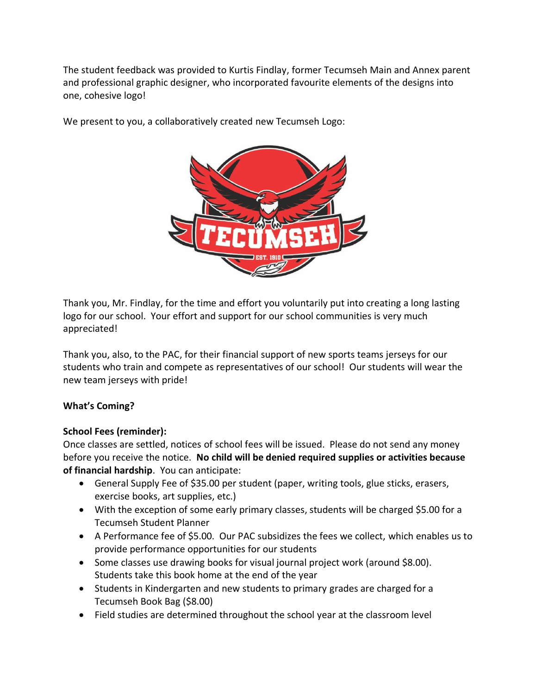The student feedback was provided to Kurtis Findlay, former Tecumseh Main and Annex parent and professional graphic designer, who incorporated favourite elements of the designs into one, cohesive logo!



We present to you, a collaboratively created new Tecumseh Logo:

Thank you, Mr. Findlay, for the time and effort you voluntarily put into creating a long lasting logo for our school. Your effort and support for our school communities is very much appreciated!

Thank you, also, to the PAC, for their financial support of new sports teams jerseys for our students who train and compete as representatives of our school! Our students will wear the new team jerseys with pride!

## **What's Coming?**

## **School Fees (reminder):**

Once classes are settled, notices of school fees will be issued. Please do not send any money before you receive the notice. **No child will be denied required supplies or activities because of financial hardship**. You can anticipate:

- General Supply Fee of \$35.00 per student (paper, writing tools, glue sticks, erasers, exercise books, art supplies, etc.)
- With the exception of some early primary classes, students will be charged \$5.00 for a Tecumseh Student Planner
- A Performance fee of \$5.00. Our PAC subsidizes the fees we collect, which enables us to provide performance opportunities for our students
- Some classes use drawing books for visual journal project work (around \$8.00). Students take this book home at the end of the year
- Students in Kindergarten and new students to primary grades are charged for a Tecumseh Book Bag (\$8.00)
- Field studies are determined throughout the school year at the classroom level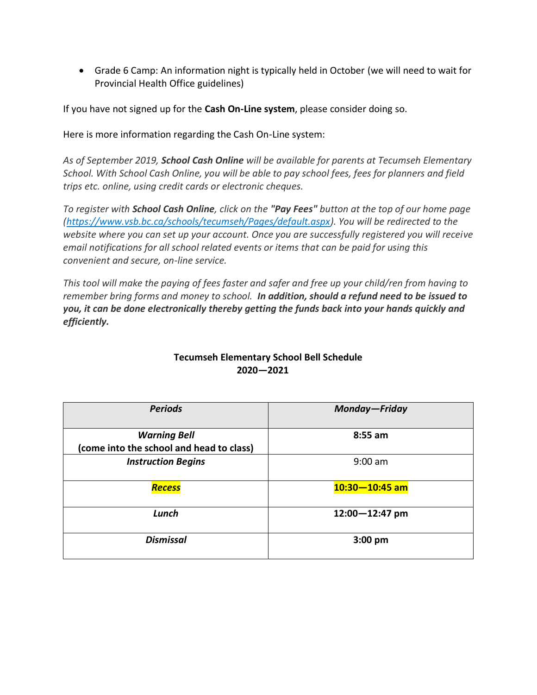• Grade 6 Camp: An information night is typically held in October (we will need to wait for Provincial Health Office guidelines)

If you have not signed up for the **Cash On-Line system**, please consider doing so.

Here is more information regarding the Cash On-Line system:

*As of September 2019, School Cash Online will be available for parents at Tecumseh Elementary School. With School Cash Online, you will be able to pay school fees, fees for planners and field trips etc. online, using credit cards or electronic cheques.*

*To register with School Cash Online, click on the "Pay Fees" button at the top of our home page [\(https://www.vsb.bc.ca/schools/tecumseh/Pages/default.aspx\)](https://www.vsb.bc.ca/schools/tecumseh/Pages/default.aspx). You will be redirected to the website where you can set up your account. Once you are successfully registered you will receive email notifications for all school related events or items that can be paid for using this convenient and secure, on-line service.*

*This tool will make the paying of fees faster and safer and free up your child/ren from having to remember bring forms and money to school. In addition, should a refund need to be issued to you, it can be done electronically thereby getting the funds back into your hands quickly and efficiently.*

| <b>Periods</b>                                                  | Monday-Friday      |
|-----------------------------------------------------------------|--------------------|
| <b>Warning Bell</b><br>(come into the school and head to class) | 8:55 am            |
| <b>Instruction Begins</b>                                       | $9:00$ am          |
| <b>Recess</b>                                                   | $10:30 - 10:45$ am |
| Lunch                                                           | $12:00 - 12:47$ pm |
| <b>Dismissal</b>                                                | $3:00$ pm          |

## **Tecumseh Elementary School Bell Schedule 2020—2021**